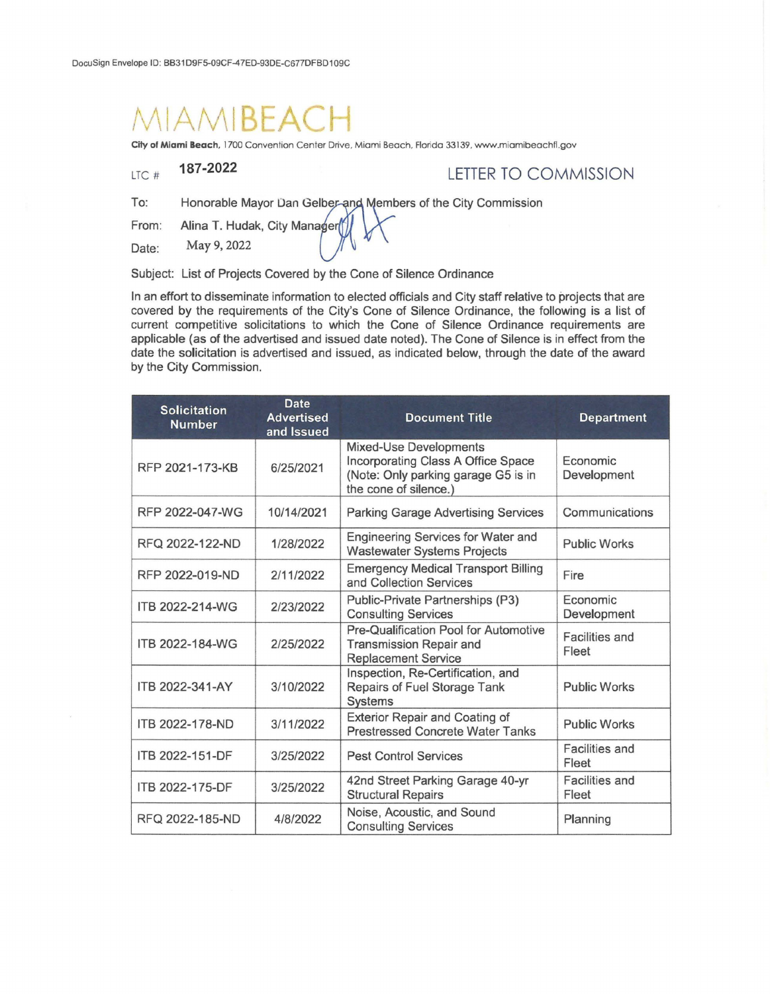## **AMIBEAC**

**City of Miami Beach,** 1700 Convention Center Drive. Miami Beach, Florida 33 139, www.miamibeachfl.gov

LTC #

## **187-2022** LETTER TO COMMISSION

To: Honorable Mayor Dan Gelber-and Members of the City Commission

From: Alina T. Hudak, City Manager

Date: May 9, 2022

Subject: List of Projects Covered by the Cone of Silence Ordinance

In an effort to disseminate information to elected officials and City staff relative to projects that are covered by the requirements of the City's Cone of Silence Ordinance, the following is a list of current competitive solicitations to which the Cone of Silence Ordinance requirements are applicable (as of the advertised and issued date noted). The Cone of Silence is in effect from the date the solicitation is advertised and issued, as indicated below, through the date of the award by the City Commission.

| <b>Solicitation</b><br><b>Number</b> | <b>Date</b><br><b>Advertised</b><br>and Issued | <b>Document Title</b>                                                                                                        | <b>Department</b>       |
|--------------------------------------|------------------------------------------------|------------------------------------------------------------------------------------------------------------------------------|-------------------------|
| RFP 2021-173-KB                      | 6/25/2021                                      | Mixed-Use Developments<br>Incorporating Class A Office Space<br>(Note: Only parking garage G5 is in<br>the cone of silence.) | Economic<br>Development |
| RFP 2022-047-WG                      | 10/14/2021                                     | <b>Parking Garage Advertising Services</b>                                                                                   | Communications          |
| RFQ 2022-122-ND                      | 1/28/2022                                      | Engineering Services for Water and<br><b>Wastewater Systems Projects</b>                                                     | <b>Public Works</b>     |
| RFP 2022-019-ND                      | 2/11/2022                                      | <b>Emergency Medical Transport Billing</b><br>and Collection Services                                                        | Fire                    |
| ITB 2022-214-WG                      | 2/23/2022                                      | Public-Private Partnerships (P3)<br><b>Consulting Services</b>                                                               | Economic<br>Development |
| ITB 2022-184-WG                      | 2/25/2022                                      | Pre-Qualification Pool for Automotive<br>Transmission Repair and<br><b>Replacement Service</b>                               | Facilities and<br>Fleet |
| ITB 2022-341-AY                      | 3/10/2022                                      | Inspection, Re-Certification, and<br>Repairs of Fuel Storage Tank<br>Systems                                                 | <b>Public Works</b>     |
| ITB 2022-178-ND                      | 3/11/2022                                      | Exterior Repair and Coating of<br><b>Prestressed Concrete Water Tanks</b>                                                    | <b>Public Works</b>     |
| ITB 2022-151-DF                      | 3/25/2022                                      | <b>Pest Control Services</b>                                                                                                 | Facilities and<br>Fleet |
| ITB 2022-175-DF                      | 3/25/2022                                      | 42nd Street Parking Garage 40-yr<br><b>Structural Repairs</b>                                                                | Facilities and<br>Fleet |
| RFQ 2022-185-ND                      | 4/8/2022                                       | Noise, Acoustic, and Sound<br><b>Consulting Services</b>                                                                     | Planning                |